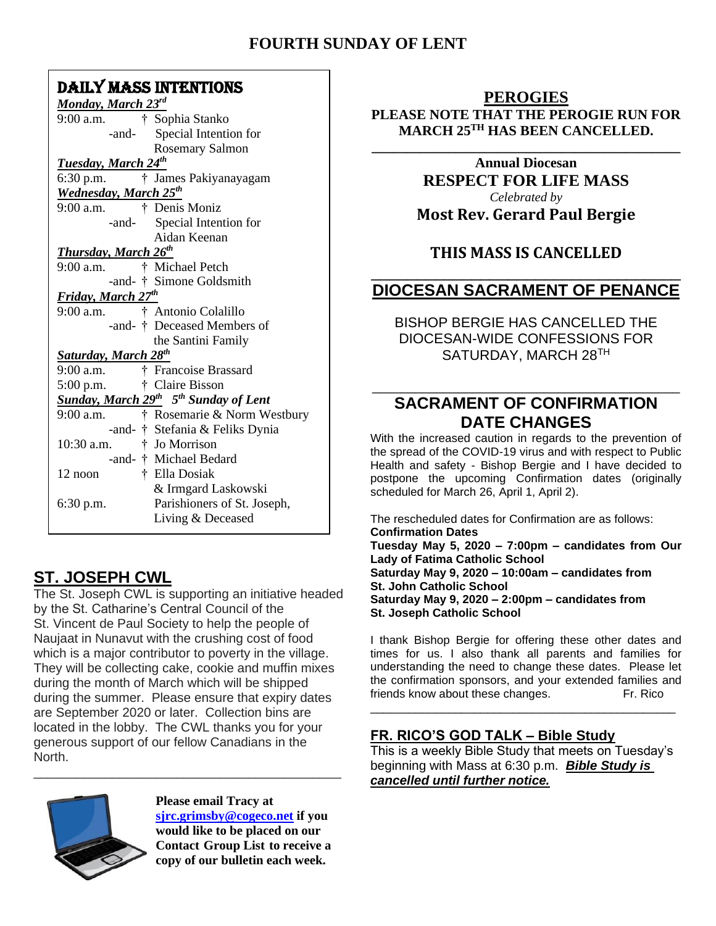# DAILY MASS INTENTIONS

# **ST. JOSEPH CWL**

The St. Joseph CWL is supporting an initiative headed by the St. Catharine's Central Council of the St. Vincent de Paul Society to help the people of Naujaat in Nunavut with the crushing cost of food which is a major contributor to poverty in the village. They will be collecting cake, cookie and muffin mixes during the month of March which will be shipped during the summer. Please ensure that expiry dates are September 2020 or later. Collection bins are located in the lobby. The CWL thanks you for your generous support of our fellow Canadians in the North.

\_\_\_\_\_\_\_\_\_\_\_\_\_\_\_\_\_\_\_\_\_\_\_\_\_\_\_\_\_\_\_\_\_\_\_\_\_\_\_\_\_\_\_



**Please email Tracy at [sjrc.grimsby@cogeco.net](mailto:sjrc.grimsby@cogeco.net) if you would like to be placed on our Contact Group List to receive a copy of our bulletin each week.**

## **PEROGIES PLEASE NOTE THAT THE PEROGIE RUN FOR MARCH 25TH HAS BEEN CANCELLED.**

**\_\_\_\_\_\_\_\_\_\_\_\_\_\_\_\_\_\_\_\_\_\_\_\_\_\_\_\_\_\_\_\_\_\_\_\_\_\_\_\_\_\_\_\_**

**Annual Diocesan RESPECT FOR LIFE MASS** *Celebrated by* **Most Rev. Gerard Paul Bergie**

## **THIS MASS IS CANCELLED**

## \_\_\_\_\_\_\_\_\_\_\_\_\_\_\_\_\_\_\_\_\_\_\_\_\_\_\_\_\_\_\_\_\_\_ **DIOCESAN SACRAMENT OF PENANCE**

BISHOP BERGIE HAS CANCELLED THE DIOCESAN-WIDE CONFESSIONS FOR SATURDAY, MARCH 28TH

## \_\_\_\_\_\_\_\_\_\_\_\_\_\_\_\_\_\_\_\_\_\_\_\_\_\_\_\_\_\_\_\_\_\_\_\_\_\_\_\_\_\_\_ **SACRAMENT OF CONFIRMATION DATE CHANGES**

With the increased caution in regards to the prevention of the spread of the COVID-19 virus and with respect to Public Health and safety - Bishop Bergie and I have decided to postpone the upcoming Confirmation dates (originally scheduled for March 26, April 1, April 2).

The rescheduled dates for Confirmation are as follows: **Confirmation Dates Tuesday May 5, 2020 – 7:00pm – candidates from Our Lady of Fatima Catholic School Saturday May 9, 2020 – 10:00am – candidates from St. John Catholic School Saturday May 9, 2020 – 2:00pm – candidates from St. Joseph Catholic School** 

I thank Bishop Bergie for offering these other dates and times for us. I also thank all parents and families for understanding the need to change these dates. Please let the confirmation sponsors, and your extended families and friends know about these changes. Fr. Rico \_\_\_\_\_\_\_\_\_\_\_\_\_\_\_\_\_\_\_\_\_\_\_\_\_\_\_\_\_\_\_\_\_\_\_\_\_\_\_\_\_\_\_\_\_\_\_

## **FR. RICO'S GOD TALK – Bible Study**

This is a weekly Bible Study that meets on Tuesday's beginning with Mass at 6:30 p.m. *Bible Study is cancelled until further notice.*